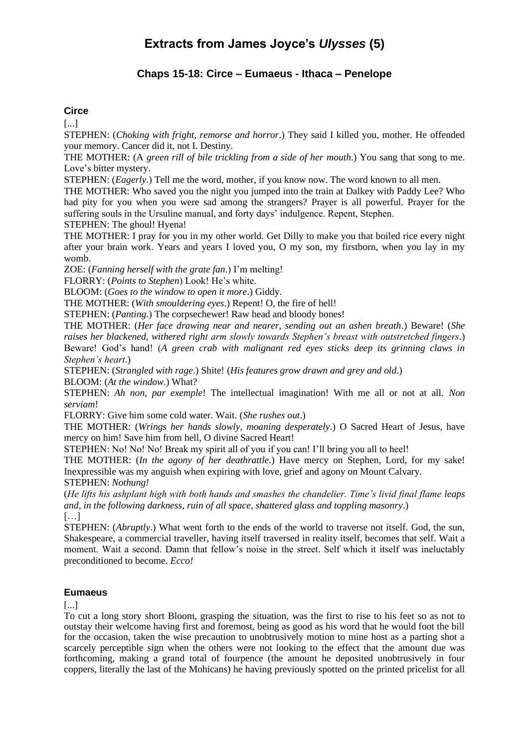# **Extracts from James Joyce's** *Ulysses* **(5)**

# **Chaps 15-18: Circe – Eumaeus - Ithaca – Penelope**

## **Circe**

[...]

STEPHEN: (*Choking with fright, remorse and horror*.) They said I killed you, mother. He offended your memory. Cancer did it, not I. Destiny.

THE MOTHER: (A *green rill of bile trickling from a side of her mouth*.) You sang that song to me. Love's bitter mystery.

STEPHEN: (*Eagerly*.) Tell me the word, mother, if you know now. The word known to all men.

THE MOTHER: Who saved you the night you jumped into the train at Dalkey with Paddy Lee? Who had pity for you when you were sad among the strangers? Prayer is all powerful. Prayer for the suffering souls in the Ursuline manual, and forty days' indulgence. Repent, Stephen.

STEPHEN: The ghoul! Hyena!

THE MOTHER: I pray for you in my other world. Get Dilly to make you that boiled rice every night after your brain work. Years and years I loved you, O my son, my firstborn, when you lay in my womb.

ZOE: (*Fanning herself with the grate fan*.) I'm melting!

FLORRY: (*Points to Stephen*) Look! He's white.

BLOOM: (*Goes to the window to open it more*.) Giddy.

THE MOTHER: (*With smouldering eyes*.) Repent! O, the fire of hell!

STEPHEN: (*Panting*.) The corpsechewer! Raw head and bloody bones!

THE MOTHER: (*Her face drawing near and nearer, sending out an ashen breath*.) Beware! (*She raises her blackened, withered right arm slowly towards Stephen's breast with outstretched fingers*.) Beware! God's hand! (*A green crab with malignant red eyes sticks deep its grinning claws in Stephen's heart*.)

STEPHEN: (*Strangled with rage*.) Shite! (*His features grow drawn and grey and old*.) BLOOM: (*At the window*.) What?

STEPHEN: *Ah non, par exemple*! The intellectual imagination! With me all or not at all. *Non serviam*!

FLORRY: Give him some cold water. Wait. (*She rushes out*.)

THE MOTHER: (*Wrings her hands slowly, moaning desperately*.) O Sacred Heart of Jesus, have mercy on him! Save him from hell, O divine Sacred Heart!

STEPHEN: No! No! No! Break my spirit all of you if you can! I'll bring you all to heel!

THE MOTHER: (*In the agony of her deathrattle*.) Have mercy on Stephen, Lord, for my sake! Inexpressible was my anguish when expiring with love, grief and agony on Mount Calvary. STEPHEN: *Nothung!*

(*He lifts his ashplant high with both hands and smashes the chandelier. Time's livid final flame leaps and, in the following darkness, ruin of all space, shattered glass and toppling masonry*.) […]

STEPHEN: (*Abruptly*.) What went forth to the ends of the world to traverse not itself. God, the sun, Shakespeare, a commercial traveller, having itself traversed in reality itself, becomes that self. Wait a moment. Wait a second. Damn that fellow's noise in the street. Self which it itself was ineluctably preconditioned to become. *Ecco!*

#### **Eumaeus**

[...]

To cut a long story short Bloom, grasping the situation, was the first to rise to his feet so as not to outstay their welcome having first and foremost, being as good as his word that he would foot the bill for the occasion, taken the wise precaution to unobtrusively motion to mine host as a parting shot a scarcely perceptible sign when the others were not looking to the effect that the amount due was forthcoming, making a grand total of fourpence (the amount he deposited unobtrusively in four coppers, literally the last of the Mohicans) he having previously spotted on the printed pricelist for all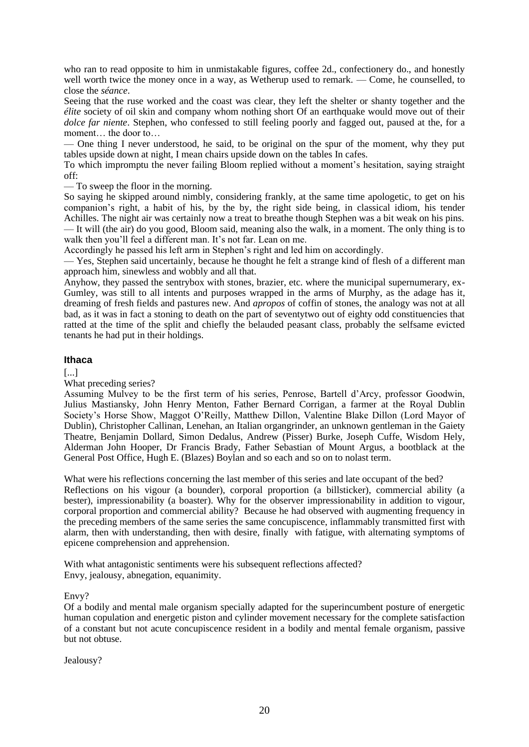who ran to read opposite to him in unmistakable figures, coffee 2d., confectionery do., and honestly well worth twice the money once in a way, as Wetherup used to remark. — Come, he counselled, to close the *séance*.

Seeing that the ruse worked and the coast was clear, they left the shelter or shanty together and the *élite* society of oil skin and company whom nothing short Of an earthquake would move out of their *dolce far niente*. Stephen, who confessed to still feeling poorly and fagged out, paused at the, for a moment… the door to…

— One thing I never understood, he said, to be original on the spur of the moment, why they put tables upside down at night, I mean chairs upside down on the tables In cafes.

To which impromptu the never failing Bloom replied without a moment's hesitation, saying straight off:

— To sweep the floor in the morning.

So saying he skipped around nimbly, considering frankly, at the same time apologetic, to get on his companion's right, a habit of his, by the by, the right side being, in classical idiom, his tender Achilles. The night air was certainly now a treat to breathe though Stephen was a bit weak on his pins. — It will (the air) do you good, Bloom said, meaning also the walk, in a moment. The only thing is to walk then you'll feel a different man. It's not far. Lean on me.

Accordingly he passed his left arm in Stephen's right and led him on accordingly.

— Yes, Stephen said uncertainly, because he thought he felt a strange kind of flesh of a different man approach him, sinewless and wobbly and all that.

Anyhow, they passed the sentrybox with stones, brazier, etc. where the municipal supernumerary, ex-Gumley, was still to all intents and purposes wrapped in the arms of Murphy, as the adage has it, dreaming of fresh fields and pastures new. And *apropos* of coffin of stones, the analogy was not at all bad, as it was in fact a stoning to death on the part of seventytwo out of eighty odd constituencies that ratted at the time of the split and chiefly the belauded peasant class, probably the selfsame evicted tenants he had put in their holdings.

#### **Ithaca**

[...]

What preceding series?

Assuming Mulvey to be the first term of his series, Penrose, Bartell d'Arcy, professor Goodwin, Julius Mastiansky, John Henry Menton, Father Bernard Corrigan, a farmer at the Royal Dublin Society's Horse Show, Maggot O'Reilly, Matthew Dillon, Valentine Blake Dillon (Lord Mayor of Dublin), Christopher Callinan, Lenehan, an Italian organgrinder, an unknown gentleman in the Gaiety Theatre, Benjamin Dollard, Simon Dedalus, Andrew (Pisser) Burke, Joseph Cuffe, Wisdom Hely, Alderman John Hooper, Dr Francis Brady, Father Sebastian of Mount Argus, a bootblack at the General Post Office, Hugh E. (Blazes) Boylan and so each and so on to nolast term.

What were his reflections concerning the last member of this series and late occupant of the bed? Reflections on his vigour (a bounder), corporal proportion (a billsticker), commercial ability (a bester), impressionability (a boaster). Why for the observer impressionability in addition to vigour, corporal proportion and commercial ability? Because he had observed with augmenting frequency in the preceding members of the same series the same concupiscence, inflammably transmitted first with alarm, then with understanding, then with desire, finally with fatigue, with alternating symptoms of epicene comprehension and apprehension.

With what antagonistic sentiments were his subsequent reflections affected? Envy, jealousy, abnegation, equanimity.

#### Envy?

Of a bodily and mental male organism specially adapted for the superincumbent posture of energetic human copulation and energetic piston and cylinder movement necessary for the complete satisfaction of a constant but not acute concupiscence resident in a bodily and mental female organism, passive but not obtuse.

Jealousy?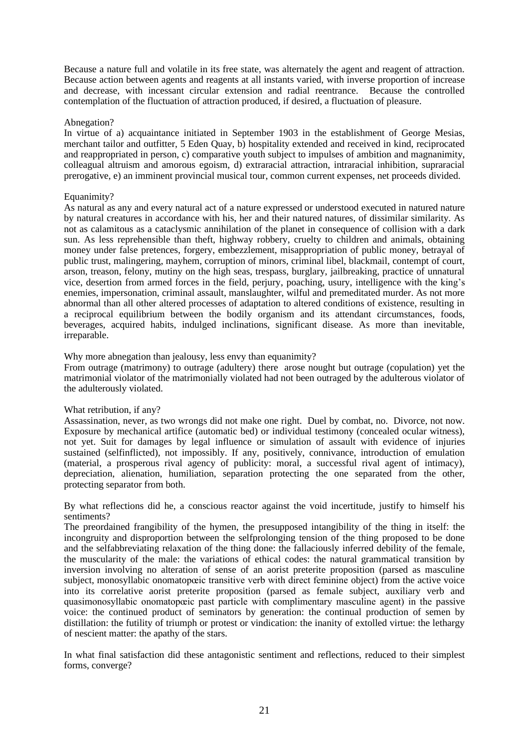Because a nature full and volatile in its free state, was alternately the agent and reagent of attraction. Because action between agents and reagents at all instants varied, with inverse proportion of increase and decrease, with incessant circular extension and radial reentrance. Because the controlled contemplation of the fluctuation of attraction produced, if desired, a fluctuation of pleasure.

#### Abnegation?

In virtue of a) acquaintance initiated in September 1903 in the establishment of George Mesias, merchant tailor and outfitter, 5 Eden Quay, b) hospitality extended and received in kind, reciprocated and reappropriated in person, c) comparative youth subject to impulses of ambition and magnanimity, colleagual altruism and amorous egoism, d) extraracial attraction, intraracial inhibition, supraracial prerogative, e) an imminent provincial musical tour, common current expenses, net proceeds divided.

#### Equanimity?

As natural as any and every natural act of a nature expressed or understood executed in natured nature by natural creatures in accordance with his, her and their natured natures, of dissimilar similarity. As not as calamitous as a cataclysmic annihilation of the planet in consequence of collision with a dark sun. As less reprehensible than theft, highway robbery, cruelty to children and animals, obtaining money under false pretences, forgery, embezzlement, misappropriation of public money, betrayal of public trust, malingering, mayhem, corruption of minors, criminal libel, blackmail, contempt of court, arson, treason, felony, mutiny on the high seas, trespass, burglary, jailbreaking, practice of unnatural vice, desertion from armed forces in the field, perjury, poaching, usury, intelligence with the king's enemies, impersonation, criminal assault, manslaughter, wilful and premeditated murder. As not more abnormal than all other altered processes of adaptation to altered conditions of existence, resulting in a reciprocal equilibrium between the bodily organism and its attendant circumstances, foods, beverages, acquired habits, indulged inclinations, significant disease. As more than inevitable, irreparable.

#### Why more abnegation than jealousy, less envy than equanimity?

From outrage (matrimony) to outrage (adultery) there arose nought but outrage (copulation) yet the matrimonial violator of the matrimonially violated had not been outraged by the adulterous violator of the adulterously violated.

#### What retribution, if any?

Assassination, never, as two wrongs did not make one right. Duel by combat, no. Divorce, not now. Exposure by mechanical artifice (automatic bed) or individual testimony (concealed ocular witness), not yet. Suit for damages by legal influence or simulation of assault with evidence of injuries sustained (selfinflicted), not impossibly. If any, positively, connivance, introduction of emulation (material, a prosperous rival agency of publicity: moral, a successful rival agent of intimacy), depreciation, alienation, humiliation, separation protecting the one separated from the other, protecting separator from both.

By what reflections did he, a conscious reactor against the void incertitude, justify to himself his sentiments?

The preordained frangibility of the hymen, the presupposed intangibility of the thing in itself: the incongruity and disproportion between the selfprolonging tension of the thing proposed to be done and the selfabbreviating relaxation of the thing done: the fallaciously inferred debility of the female, the muscularity of the male: the variations of ethical codes: the natural grammatical transition by inversion involving no alteration of sense of an aorist preterite proposition (parsed as masculine subject, monosyllabic onomatopœic transitive verb with direct feminine object) from the active voice into its correlative aorist preterite proposition (parsed as female subject, auxiliary verb and quasimonosyllabic onomatopœic past particle with complimentary masculine agent) in the passive voice: the continued product of seminators by generation: the continual production of semen by distillation: the futility of triumph or protest or vindication: the inanity of extolled virtue: the lethargy of nescient matter: the apathy of the stars.

In what final satisfaction did these antagonistic sentiment and reflections, reduced to their simplest forms, converge?